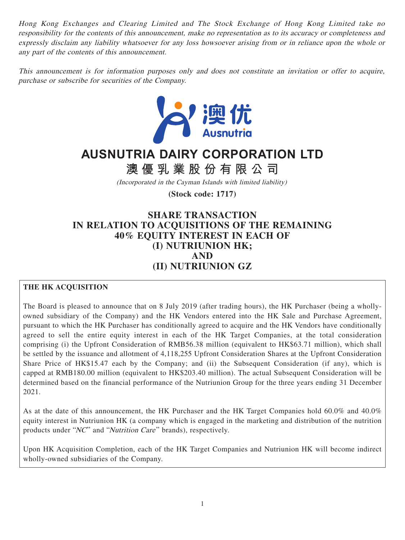Hong Kong Exchanges and Clearing Limited and The Stock Exchange of Hong Kong Limited take no responsibility for the contents of this announcement, make no representation as to its accuracy or completeness and expressly disclaim any liability whatsoever for any loss howsoever arising from or in reliance upon the whole or any part of the contents of this announcement.

This announcement is for information purposes only and does not constitute an invitation or offer to acquire, purchase or subscribe for securities of the Company.



# **AUSNUTRIA DAIRY CORPORATION LTD**

**澳優乳業股份有限公司**

(Incorporated in the Cayman Islands with limited liability)

**(Stock code: 1717)**

## **SHARE TRANSACTION IN RELATION TO ACQUISITIONS OF THE REMAINING 40% EQUITY INTEREST IN EACH OF (I) NUTRIUNION HK; AND (II) NUTRIUNION GZ**

## **THE HK ACQUISITION**

The Board is pleased to announce that on 8 July 2019 (after trading hours), the HK Purchaser (being a whollyowned subsidiary of the Company) and the HK Vendors entered into the HK Sale and Purchase Agreement, pursuant to which the HK Purchaser has conditionally agreed to acquire and the HK Vendors have conditionally agreed to sell the entire equity interest in each of the HK Target Companies, at the total consideration comprising (i) the Upfront Consideration of RMB56.38 million (equivalent to HK\$63.71 million), which shall be settled by the issuance and allotment of 4,118,255 Upfront Consideration Shares at the Upfront Consideration Share Price of HK\$15.47 each by the Company; and (ii) the Subsequent Consideration (if any), which is capped at RMB180.00 million (equivalent to HK\$203.40 million). The actual Subsequent Consideration will be determined based on the financial performance of the Nutriunion Group for the three years ending 31 December 2021.

As at the date of this announcement, the HK Purchaser and the HK Target Companies hold 60.0% and 40.0% equity interest in Nutriunion HK (a company which is engaged in the marketing and distribution of the nutrition products under "NC" and "Nutrition Care" brands), respectively.

Upon HK Acquisition Completion, each of the HK Target Companies and Nutriunion HK will become indirect wholly-owned subsidiaries of the Company.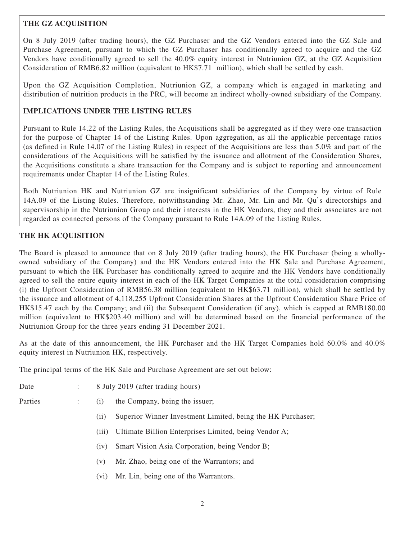## **THE GZ ACQUISITION**

On 8 July 2019 (after trading hours), the GZ Purchaser and the GZ Vendors entered into the GZ Sale and Purchase Agreement, pursuant to which the GZ Purchaser has conditionally agreed to acquire and the GZ Vendors have conditionally agreed to sell the 40.0% equity interest in Nutriunion GZ, at the GZ Acquisition Consideration of RMB6.82 million (equivalent to HK\$7.71 million), which shall be settled by cash.

Upon the GZ Acquisition Completion, Nutriunion GZ, a company which is engaged in marketing and distribution of nutrition products in the PRC, will become an indirect wholly-owned subsidiary of the Company.

## **IMPLICATIONS UNDER THE LISTING RULES**

Pursuant to Rule 14.22 of the Listing Rules, the Acquisitions shall be aggregated as if they were one transaction for the purpose of Chapter 14 of the Listing Rules. Upon aggregation, as all the applicable percentage ratios (as defined in Rule 14.07 of the Listing Rules) in respect of the Acquisitions are less than 5.0% and part of the considerations of the Acquisitions will be satisfied by the issuance and allotment of the Consideration Shares, the Acquisitions constitute a share transaction for the Company and is subject to reporting and announcement requirements under Chapter 14 of the Listing Rules.

Both Nutriunion HK and Nutriunion GZ are insignificant subsidiaries of the Company by virtue of Rule 14A.09 of the Listing Rules. Therefore, notwithstanding Mr. Zhao, Mr. Lin and Mr. Qu's directorships and supervisorship in the Nutriunion Group and their interests in the HK Vendors, they and their associates are not regarded as connected persons of the Company pursuant to Rule 14A.09 of the Listing Rules.

## **THE HK ACQUISITION**

The Board is pleased to announce that on 8 July 2019 (after trading hours), the HK Purchaser (being a whollyowned subsidiary of the Company) and the HK Vendors entered into the HK Sale and Purchase Agreement, pursuant to which the HK Purchaser has conditionally agreed to acquire and the HK Vendors have conditionally agreed to sell the entire equity interest in each of the HK Target Companies at the total consideration comprising (i) the Upfront Consideration of RMB56.38 million (equivalent to HK\$63.71 million), which shall be settled by the issuance and allotment of 4,118,255 Upfront Consideration Shares at the Upfront Consideration Share Price of HK\$15.47 each by the Company; and (ii) the Subsequent Consideration (if any), which is capped at RMB180.00 million (equivalent to HK\$203.40 million) and will be determined based on the financial performance of the Nutriunion Group for the three years ending 31 December 2021.

As at the date of this announcement, the HK Purchaser and the HK Target Companies hold 60.0% and 40.0% equity interest in Nutriunion HK, respectively.

The principal terms of the HK Sale and Purchase Agreement are set out below:

- Date : 8 July 2019 (after trading hours)
- 
- 
- Parties : (i) the Company, being the issuer;
	- (ii) Superior Winner Investment Limited, being the HK Purchaser;
	- (iii) Ultimate Billion Enterprises Limited, being Vendor A;
	- (iv) Smart Vision Asia Corporation, being Vendor B;
	- (v) Mr. Zhao, being one of the Warrantors; and
	- (vi) Mr. Lin, being one of the Warrantors.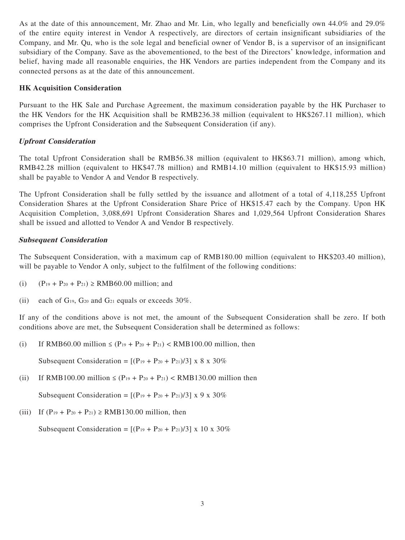As at the date of this announcement, Mr. Zhao and Mr. Lin, who legally and beneficially own 44.0% and 29.0% of the entire equity interest in Vendor A respectively, are directors of certain insignificant subsidiaries of the Company, and Mr. Qu, who is the sole legal and beneficial owner of Vendor B, is a supervisor of an insignificant subsidiary of the Company. Save as the abovementioned, to the best of the Directors' knowledge, information and belief, having made all reasonable enquiries, the HK Vendors are parties independent from the Company and its connected persons as at the date of this announcement.

#### **HK Acquisition Consideration**

Pursuant to the HK Sale and Purchase Agreement, the maximum consideration payable by the HK Purchaser to the HK Vendors for the HK Acquisition shall be RMB236.38 million (equivalent to HK\$267.11 million), which comprises the Upfront Consideration and the Subsequent Consideration (if any).

## **Upfront Consideration**

The total Upfront Consideration shall be RMB56.38 million (equivalent to HK\$63.71 million), among which, RMB42.28 million (equivalent to HK\$47.78 million) and RMB14.10 million (equivalent to HK\$15.93 million) shall be payable to Vendor A and Vendor B respectively.

The Upfront Consideration shall be fully settled by the issuance and allotment of a total of 4,118,255 Upfront Consideration Shares at the Upfront Consideration Share Price of HK\$15.47 each by the Company. Upon HK Acquisition Completion, 3,088,691 Upfront Consideration Shares and 1,029,564 Upfront Consideration Shares shall be issued and allotted to Vendor A and Vendor B respectively.

## **Subsequent Consideration**

The Subsequent Consideration, with a maximum cap of RMB180.00 million (equivalent to HK\$203.40 million), will be payable to Vendor A only, subject to the fulfilment of the following conditions:

- (i)  $(P_{19} + P_{20} + P_{21}) \geq \text{RMB60.00 million; and}$
- (ii) each of  $G_1$ <sup>9</sup>,  $G_2$ <sup>0</sup> and  $G_2$ <sup>1</sup> equals or exceeds 30%.

If any of the conditions above is not met, the amount of the Subsequent Consideration shall be zero. If both conditions above are met, the Subsequent Consideration shall be determined as follows:

(i) If RMB60.00 million  $\leq (P_{19} + P_{20} + P_{21}) < RMB100.00$  million, then

Subsequent Consideration =  $[(P_{19} + P_{20} + P_{21})/3] \times 8 \times 30\%$ 

(ii) If RMB100.00 million  $\leq (P_{19} + P_{20} + P_{21}) < RMB130.00$  million then

Subsequent Consideration =  $[(P_{19} + P_{20} + P_{21})/3]$  x 9 x 30%

(iii) If  $(P_{19} + P_{20} + P_{21}) \geq \text{RMB130.00 million, then}$ 

Subsequent Consideration =  $[(P_{19} + P_{20} + P_{21})/3]$  x 10 x 30%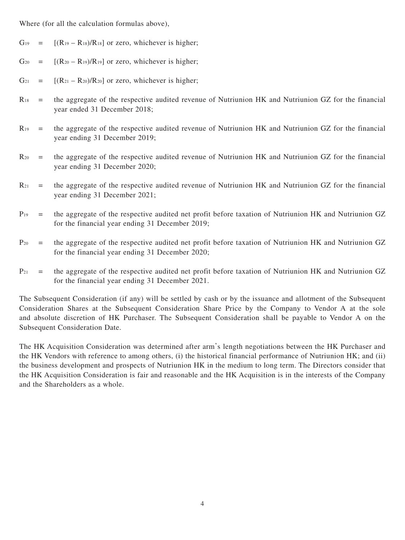Where (for all the calculation formulas above),

- $G_{19} = [(R_{19} R_{18})/R_{18}]$  or zero, whichever is higher;
- $G_{20} = [(R_{20} R_{19})/R_{19}]$  or zero, whichever is higher;
- $G_{21} = [(R_{21} R_{20})/R_{20}]$  or zero, whichever is higher;
- $R_{18}$  = the aggregate of the respective audited revenue of Nutriunion HK and Nutriunion GZ for the financial year ended 31 December 2018;
- $R_{19}$  = the aggregate of the respective audited revenue of Nutriunion HK and Nutriunion GZ for the financial year ending 31 December 2019;
- $R_{20}$  = the aggregate of the respective audited revenue of Nutriunion HK and Nutriunion GZ for the financial year ending 31 December 2020;
- $R_{21}$  = the aggregate of the respective audited revenue of Nutriunion HK and Nutriunion GZ for the financial year ending 31 December 2021;
- $P_{19}$  = the aggregate of the respective audited net profit before taxation of Nutriunion HK and Nutriunion GZ for the financial year ending 31 December 2019;
- $P_{20}$  = the aggregate of the respective audited net profit before taxation of Nutriunion HK and Nutriunion GZ for the financial year ending 31 December 2020;
- $P_{21}$  = the aggregate of the respective audited net profit before taxation of Nutriunion HK and Nutriunion GZ for the financial year ending 31 December 2021.

The Subsequent Consideration (if any) will be settled by cash or by the issuance and allotment of the Subsequent Consideration Shares at the Subsequent Consideration Share Price by the Company to Vendor A at the sole and absolute discretion of HK Purchaser. The Subsequent Consideration shall be payable to Vendor A on the Subsequent Consideration Date.

The HK Acquisition Consideration was determined after arm's length negotiations between the HK Purchaser and the HK Vendors with reference to among others, (i) the historical financial performance of Nutriunion HK; and (ii) the business development and prospects of Nutriunion HK in the medium to long term. The Directors consider that the HK Acquisition Consideration is fair and reasonable and the HK Acquisition is in the interests of the Company and the Shareholders as a whole.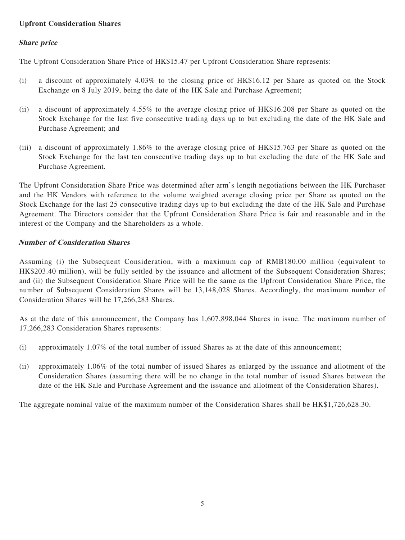## **Upfront Consideration Shares**

## **Share price**

The Upfront Consideration Share Price of HK\$15.47 per Upfront Consideration Share represents:

- (i) a discount of approximately 4.03% to the closing price of HK\$16.12 per Share as quoted on the Stock Exchange on 8 July 2019, being the date of the HK Sale and Purchase Agreement;
- (ii) a discount of approximately 4.55% to the average closing price of HK\$16.208 per Share as quoted on the Stock Exchange for the last five consecutive trading days up to but excluding the date of the HK Sale and Purchase Agreement; and
- (iii) a discount of approximately 1.86% to the average closing price of HK\$15.763 per Share as quoted on the Stock Exchange for the last ten consecutive trading days up to but excluding the date of the HK Sale and Purchase Agreement.

The Upfront Consideration Share Price was determined after arm's length negotiations between the HK Purchaser and the HK Vendors with reference to the volume weighted average closing price per Share as quoted on the Stock Exchange for the last 25 consecutive trading days up to but excluding the date of the HK Sale and Purchase Agreement. The Directors consider that the Upfront Consideration Share Price is fair and reasonable and in the interest of the Company and the Shareholders as a whole.

## **Number of Consideration Shares**

Assuming (i) the Subsequent Consideration, with a maximum cap of RMB180.00 million (equivalent to HK\$203.40 million), will be fully settled by the issuance and allotment of the Subsequent Consideration Shares; and (ii) the Subsequent Consideration Share Price will be the same as the Upfront Consideration Share Price, the number of Subsequent Consideration Shares will be 13,148,028 Shares. Accordingly, the maximum number of Consideration Shares will be 17,266,283 Shares.

As at the date of this announcement, the Company has 1,607,898,044 Shares in issue. The maximum number of 17,266,283 Consideration Shares represents:

- (i) approximately 1.07% of the total number of issued Shares as at the date of this announcement;
- (ii) approximately 1.06% of the total number of issued Shares as enlarged by the issuance and allotment of the Consideration Shares (assuming there will be no change in the total number of issued Shares between the date of the HK Sale and Purchase Agreement and the issuance and allotment of the Consideration Shares).

The aggregate nominal value of the maximum number of the Consideration Shares shall be HK\$1,726,628.30.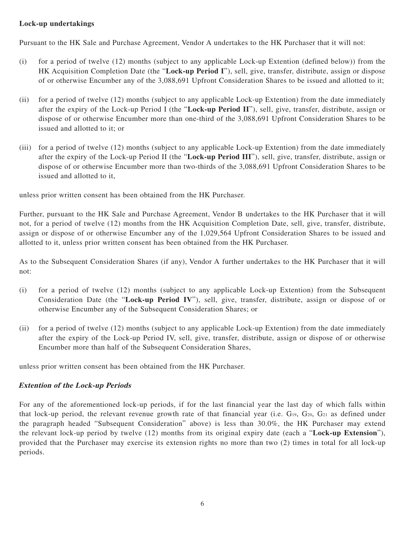## **Lock-up undertakings**

Pursuant to the HK Sale and Purchase Agreement, Vendor A undertakes to the HK Purchaser that it will not:

- (i) for a period of twelve (12) months (subject to any applicable Lock-up Extention (defined below)) from the HK Acquisition Completion Date (the "**Lock-up Period I**"), sell, give, transfer, distribute, assign or dispose of or otherwise Encumber any of the 3,088,691 Upfront Consideration Shares to be issued and allotted to it;
- (ii) for a period of twelve (12) months (subject to any applicable Lock-up Extention) from the date immediately after the expiry of the Lock-up Period I (the "**Lock-up Period II**"), sell, give, transfer, distribute, assign or dispose of or otherwise Encumber more than one-third of the 3,088,691 Upfront Consideration Shares to be issued and allotted to it; or
- (iii) for a period of twelve (12) months (subject to any applicable Lock-up Extention) from the date immediately after the expiry of the Lock-up Period II (the "**Lock-up Period III**"), sell, give, transfer, distribute, assign or dispose of or otherwise Encumber more than two-thirds of the 3,088,691 Upfront Consideration Shares to be issued and allotted to it,

unless prior written consent has been obtained from the HK Purchaser.

Further, pursuant to the HK Sale and Purchase Agreement, Vendor B undertakes to the HK Purchaser that it will not, for a period of twelve (12) months from the HK Acquisition Completion Date, sell, give, transfer, distribute, assign or dispose of or otherwise Encumber any of the 1,029,564 Upfront Consideration Shares to be issued and allotted to it, unless prior written consent has been obtained from the HK Purchaser.

As to the Subsequent Consideration Shares (if any), Vendor A further undertakes to the HK Purchaser that it will not:

- (i) for a period of twelve (12) months (subject to any applicable Lock-up Extention) from the Subsequent Consideration Date (the "**Lock-up Period IV**"), sell, give, transfer, distribute, assign or dispose of or otherwise Encumber any of the Subsequent Consideration Shares; or
- (ii) for a period of twelve (12) months (subject to any applicable Lock-up Extention) from the date immediately after the expiry of the Lock-up Period IV, sell, give, transfer, distribute, assign or dispose of or otherwise Encumber more than half of the Subsequent Consideration Shares,

unless prior written consent has been obtained from the HK Purchaser.

#### **Extention of the Lock-up Periods**

For any of the aforementioned lock-up periods, if for the last financial year the last day of which falls within that lock-up period, the relevant revenue growth rate of that financial year (i.e.  $G_{19}$ ,  $G_{20}$ ,  $G_{21}$  as defined under the paragraph headed "Subsequent Consideration" above) is less than 30.0%, the HK Purchaser may extend the relevant lock-up period by twelve (12) months from its original expiry date (each a "**Lock-up Extension**"), provided that the Purchaser may exercise its extension rights no more than two (2) times in total for all lock-up periods.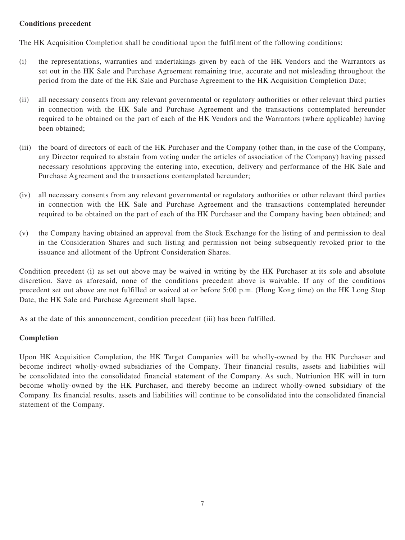## **Conditions precedent**

The HK Acquisition Completion shall be conditional upon the fulfilment of the following conditions:

- (i) the representations, warranties and undertakings given by each of the HK Vendors and the Warrantors as set out in the HK Sale and Purchase Agreement remaining true, accurate and not misleading throughout the period from the date of the HK Sale and Purchase Agreement to the HK Acquisition Completion Date;
- (ii) all necessary consents from any relevant governmental or regulatory authorities or other relevant third parties in connection with the HK Sale and Purchase Agreement and the transactions contemplated hereunder required to be obtained on the part of each of the HK Vendors and the Warrantors (where applicable) having been obtained;
- (iii) the board of directors of each of the HK Purchaser and the Company (other than, in the case of the Company, any Director required to abstain from voting under the articles of association of the Company) having passed necessary resolutions approving the entering into, execution, delivery and performance of the HK Sale and Purchase Agreement and the transactions contemplated hereunder;
- (iv) all necessary consents from any relevant governmental or regulatory authorities or other relevant third parties in connection with the HK Sale and Purchase Agreement and the transactions contemplated hereunder required to be obtained on the part of each of the HK Purchaser and the Company having been obtained; and
- (v) the Company having obtained an approval from the Stock Exchange for the listing of and permission to deal in the Consideration Shares and such listing and permission not being subsequently revoked prior to the issuance and allotment of the Upfront Consideration Shares.

Condition precedent (i) as set out above may be waived in writing by the HK Purchaser at its sole and absolute discretion. Save as aforesaid, none of the conditions precedent above is waivable. If any of the conditions precedent set out above are not fulfilled or waived at or before 5:00 p.m. (Hong Kong time) on the HK Long Stop Date, the HK Sale and Purchase Agreement shall lapse.

As at the date of this announcement, condition precedent (iii) has been fulfilled.

## **Completion**

Upon HK Acquisition Completion, the HK Target Companies will be wholly-owned by the HK Purchaser and become indirect wholly-owned subsidiaries of the Company. Their financial results, assets and liabilities will be consolidated into the consolidated financial statement of the Company. As such, Nutriunion HK will in turn become wholly-owned by the HK Purchaser, and thereby become an indirect wholly-owned subsidiary of the Company. Its financial results, assets and liabilities will continue to be consolidated into the consolidated financial statement of the Company.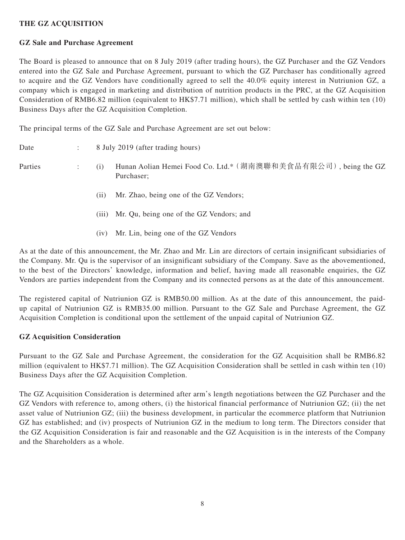## **THE GZ ACQUISITION**

#### **GZ Sale and Purchase Agreement**

The Board is pleased to announce that on 8 July 2019 (after trading hours), the GZ Purchaser and the GZ Vendors entered into the GZ Sale and Purchase Agreement, pursuant to which the GZ Purchaser has conditionally agreed to acquire and the GZ Vendors have conditionally agreed to sell the 40.0% equity interest in Nutriunion GZ, a company which is engaged in marketing and distribution of nutrition products in the PRC, at the GZ Acquisition Consideration of RMB6.82 million (equivalent to HK\$7.71 million), which shall be settled by cash within ten (10) Business Days after the GZ Acquisition Completion.

The principal terms of the GZ Sale and Purchase Agreement are set out below:

| Date    | $\ddot{\phantom{a}}$ |       | 8 July 2019 (after trading hours)                                            |
|---------|----------------------|-------|------------------------------------------------------------------------------|
| Parties | ÷                    | (i)   | Hunan Aolian Hemei Food Co. Ltd.* (湖南澳聯和美食品有限公司), being the GZ<br>Purchaser; |
|         |                      | (i)   | Mr. Zhao, being one of the GZ Vendors;                                       |
|         |                      | (iii) | Mr. Qu, being one of the GZ Vendors; and                                     |
|         |                      | (1V)  | Mr. Lin, being one of the GZ Vendors                                         |

As at the date of this announcement, the Mr. Zhao and Mr. Lin are directors of certain insignificant subsidiaries of the Company. Mr. Qu is the supervisor of an insignificant subsidiary of the Company. Save as the abovementioned, to the best of the Directors' knowledge, information and belief, having made all reasonable enquiries, the GZ Vendors are parties independent from the Company and its connected persons as at the date of this announcement.

The registered capital of Nutriunion GZ is RMB50.00 million. As at the date of this announcement, the paidup capital of Nutriunion GZ is RMB35.00 million. Pursuant to the GZ Sale and Purchase Agreement, the GZ Acquisition Completion is conditional upon the settlement of the unpaid capital of Nutriunion GZ.

#### **GZ Acquisition Consideration**

Pursuant to the GZ Sale and Purchase Agreement, the consideration for the GZ Acquisition shall be RMB6.82 million (equivalent to HK\$7.71 million). The GZ Acquisition Consideration shall be settled in cash within ten (10) Business Days after the GZ Acquisition Completion.

The GZ Acquisition Consideration is determined after arm's length negotiations between the GZ Purchaser and the GZ Vendors with reference to, among others, (i) the historical financial performance of Nutriunion GZ; (ii) the net asset value of Nutriunion GZ; (iii) the business development, in particular the ecommerce platform that Nutriunion GZ has established; and (iv) prospects of Nutriunion GZ in the medium to long term. The Directors consider that the GZ Acquisition Consideration is fair and reasonable and the GZ Acquisition is in the interests of the Company and the Shareholders as a whole.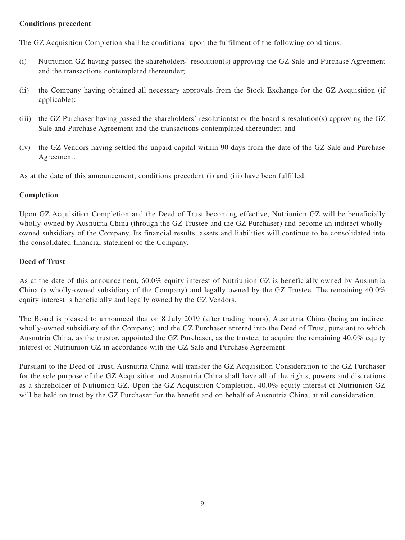## **Conditions precedent**

The GZ Acquisition Completion shall be conditional upon the fulfilment of the following conditions:

- (i) Nutriunion GZ having passed the shareholders' resolution(s) approving the GZ Sale and Purchase Agreement and the transactions contemplated thereunder;
- (ii) the Company having obtained all necessary approvals from the Stock Exchange for the GZ Acquisition (if applicable);
- (iii) the GZ Purchaser having passed the shareholders' resolution(s) or the board's resolution(s) approving the GZ Sale and Purchase Agreement and the transactions contemplated thereunder; and
- (iv) the GZ Vendors having settled the unpaid capital within 90 days from the date of the GZ Sale and Purchase Agreement.

As at the date of this announcement, conditions precedent (i) and (iii) have been fulfilled.

#### **Completion**

Upon GZ Acquisition Completion and the Deed of Trust becoming effective, Nutriunion GZ will be beneficially wholly-owned by Ausnutria China (through the GZ Trustee and the GZ Purchaser) and become an indirect whollyowned subsidiary of the Company. Its financial results, assets and liabilities will continue to be consolidated into the consolidated financial statement of the Company.

#### **Deed of Trust**

As at the date of this announcement, 60.0% equity interest of Nutriunion GZ is beneficially owned by Ausnutria China (a wholly-owned subsidiary of the Company) and legally owned by the GZ Trustee. The remaining 40.0% equity interest is beneficially and legally owned by the GZ Vendors.

The Board is pleased to announced that on 8 July 2019 (after trading hours), Ausnutria China (being an indirect wholly-owned subsidiary of the Company) and the GZ Purchaser entered into the Deed of Trust, pursuant to which Ausnutria China, as the trustor, appointed the GZ Purchaser, as the trustee, to acquire the remaining 40.0% equity interest of Nutriunion GZ in accordance with the GZ Sale and Purchase Agreement.

Pursuant to the Deed of Trust, Ausnutria China will transfer the GZ Acquisition Consideration to the GZ Purchaser for the sole purpose of the GZ Acquisition and Ausnutria China shall have all of the rights, powers and discretions as a shareholder of Nutiunion GZ. Upon the GZ Acquisition Completion, 40.0% equity interest of Nutriunion GZ will be held on trust by the GZ Purchaser for the benefit and on behalf of Ausnutria China, at nil consideration.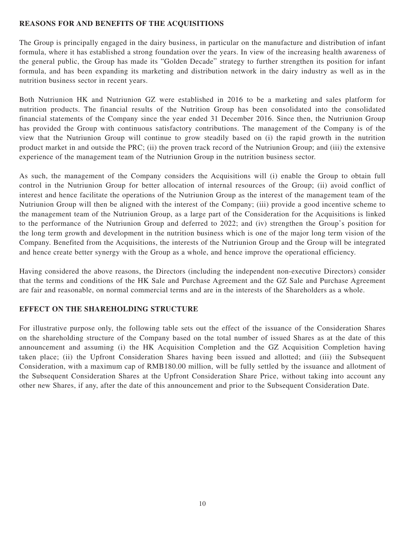#### **REASONS FOR AND BENEFITS OF THE ACQUISITIONS**

The Group is principally engaged in the dairy business, in particular on the manufacture and distribution of infant formula, where it has established a strong foundation over the years. In view of the increasing health awareness of the general public, the Group has made its "Golden Decade" strategy to further strengthen its position for infant formula, and has been expanding its marketing and distribution network in the dairy industry as well as in the nutrition business sector in recent years.

Both Nutriunion HK and Nutriunion GZ were established in 2016 to be a marketing and sales platform for nutrition products. The financial results of the Nutrition Group has been consolidated into the consolidated financial statements of the Company since the year ended 31 December 2016. Since then, the Nutriunion Group has provided the Group with continuous satisfactory contributions. The management of the Company is of the view that the Nutriunion Group will continue to grow steadily based on (i) the rapid growth in the nutrition product market in and outside the PRC; (ii) the proven track record of the Nutriunion Group; and (iii) the extensive experience of the management team of the Nutriunion Group in the nutrition business sector.

As such, the management of the Company considers the Acquisitions will (i) enable the Group to obtain full control in the Nutriunion Group for better allocation of internal resources of the Group; (ii) avoid conflict of interest and hence facilitate the operations of the Nutriunion Group as the interest of the management team of the Nutriunion Group will then be aligned with the interest of the Company; (iii) provide a good incentive scheme to the management team of the Nutriunion Group, as a large part of the Consideration for the Acquisitions is linked to the performance of the Nutriunion Group and deferred to 2022; and (iv) strengthen the Group's position for the long term growth and development in the nutrition business which is one of the major long term vision of the Company. Benefited from the Acquisitions, the interests of the Nutriunion Group and the Group will be integrated and hence create better synergy with the Group as a whole, and hence improve the operational efficiency.

Having considered the above reasons, the Directors (including the independent non-executive Directors) consider that the terms and conditions of the HK Sale and Purchase Agreement and the GZ Sale and Purchase Agreement are fair and reasonable, on normal commercial terms and are in the interests of the Shareholders as a whole.

#### **EFFECT ON THE SHAREHOLDING STRUCTURE**

For illustrative purpose only, the following table sets out the effect of the issuance of the Consideration Shares on the shareholding structure of the Company based on the total number of issued Shares as at the date of this announcement and assuming (i) the HK Acquisition Completion and the GZ Acquisition Completion having taken place; (ii) the Upfront Consideration Shares having been issued and allotted; and (iii) the Subsequent Consideration, with a maximum cap of RMB180.00 million, will be fully settled by the issuance and allotment of the Subsequent Consideration Shares at the Upfront Consideration Share Price, without taking into account any other new Shares, if any, after the date of this announcement and prior to the Subsequent Consideration Date.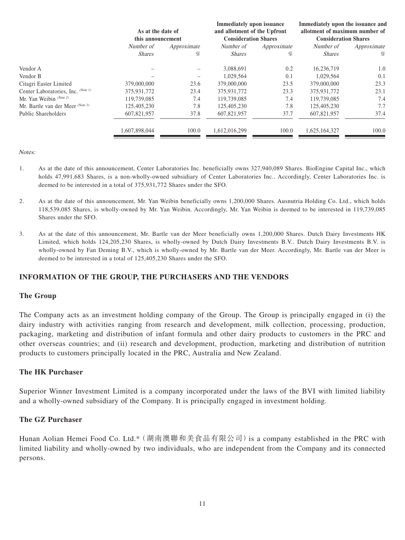|                                    | As at the date of<br>this announcement |             | <b>Immediately upon issuance</b><br>and allotment of the Upfront<br><b>Consideration Shares</b> |             | Immediately upon the issuance and<br>allotment of maximum number of<br><b>Consideration Shares</b> |             |
|------------------------------------|----------------------------------------|-------------|-------------------------------------------------------------------------------------------------|-------------|----------------------------------------------------------------------------------------------------|-------------|
|                                    |                                        |             |                                                                                                 |             |                                                                                                    |             |
|                                    | Number of                              | Approximate | Number of                                                                                       | Approximate | Number of                                                                                          | Approximate |
|                                    | <i>Shares</i>                          | %           | <i>Shares</i>                                                                                   | %           | <b>Shares</b>                                                                                      | %           |
| Vendor A                           |                                        |             | 3,088,691                                                                                       | 0.2         | 16,236,719                                                                                         | 1.0         |
| Vendor B                           |                                        |             | 1,029,564                                                                                       | 0.1         | 1.029.564                                                                                          | 0.1         |
| Citagri Easter Limited             | 379,000,000                            | 23.6        | 379,000,000                                                                                     | 23.5        | 379,000,000                                                                                        | 23.3        |
| Center Laboratories, Inc. (Note 1) | 375,931,772                            | 23.4        | 375,931,772                                                                                     | 23.3        | 375,931,772                                                                                        | 23.1        |
| Mr. Yan Weibin (Note 2)            | 119,739,085                            | 7.4         | 119.739.085                                                                                     | 7.4         | 119,739,085                                                                                        | 7.4         |
| Mr. Bartle van der Meer $(Note 3)$ | 125,405,230                            | 7.8         | 125,405,230                                                                                     | 7.8         | 125,405,230                                                                                        | 7.7         |
| Public Shareholders                | 607,821,957                            | 37.8        | 607,821,957                                                                                     | 37.7        | 607,821,957                                                                                        | 37.4        |
|                                    | 1.607.898.044                          | 100.0       | 1.612.016.299                                                                                   | 100.0       | 1,625,164,327                                                                                      | 100.0       |

 $N \alpha t$ es:

- 1. As at the date of this announcement, Center Laboratories Inc. beneficially owns 327,940,089 Shares. BioEngine Capital Inc., which holds 47,991,683 Shares, is a non-wholly-owned subsidiary of Center Laboratories Inc.. Accordingly, Center Laboratories Inc. is deemed to be interested in a total of 375,931,772 Shares under the SFO.
- 2. As at the date of this announcement, Mr. Yan Weibin beneficially owns 1,200,000 Shares. Ausnutria Holding Co. Ltd., which holds 118,539,085 Shares, is wholly-owned by Mr. Yan Weibin. Accordingly, Mr. Yan Weibin is deemed to be interested in 119,739,085 Shares under the SFO.
- 3. As at the date of this announcement, Mr. Bartle van der Meer beneficially owns 1,200,000 Shares. Dutch Dairy Investments HK Limited, which holds 124,205,230 Shares, is wholly-owned by Dutch Dairy Investments B.V.. Dutch Dairy Investments B.V. is wholly-owned by Fan Deming B.V., which is wholly-owned by Mr. Bartle van der Meer. Accordingly, Mr. Bartle van der Meer is deemed to be interested in a total of 125,405,230 Shares under the SFO.

## **INFORMATION OF THE GROUP, THE PURCHASERS AND THE VENDORS**

#### **The Group**

The Company acts as an investment holding company of the Group. The Group is principally engaged in (i) the dairy industry with activities ranging from research and development, milk collection, processing, production, packaging, marketing and distribution of infant formula and other dairy products to customers in the PRC and other overseas countries; and (ii) research and development, production, marketing and distribution of nutrition products to customers principally located in the PRC, Australia and New Zealand.

#### **The HK Purchaser**

Superior Winner Investment Limited is a company incorporated under the laws of the BVI with limited liability and a wholly-owned subsidiary of the Company. It is principally engaged in investment holding.

#### **The GZ Purchaser**

Hunan Aolian Hemei Food Co. Ltd.\*(湖南澳聯和美食品有限公司)is a company established in the PRC with limited liability and wholly-owned by two individuals, who are independent from the Company and its connected persons.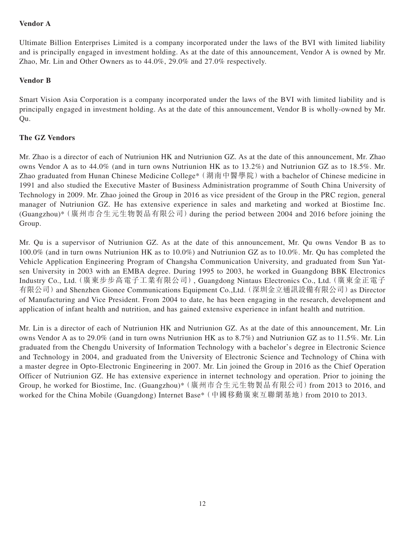## **Vendor A**

Ultimate Billion Enterprises Limited is a company incorporated under the laws of the BVI with limited liability and is principally engaged in investment holding. As at the date of this announcement, Vendor A is owned by Mr. Zhao, Mr. Lin and Other Owners as to 44.0%, 29.0% and 27.0% respectively.

## **Vendor B**

Smart Vision Asia Corporation is a company incorporated under the laws of the BVI with limited liability and is principally engaged in investment holding. As at the date of this announcement, Vendor B is wholly-owned by Mr. Qu.

## **The GZ Vendors**

Mr. Zhao is a director of each of Nutriunion HK and Nutriunion GZ. As at the date of this announcement, Mr. Zhao owns Vendor A as to 44.0% (and in turn owns Nutriunion HK as to 13.2%) and Nutriunion GZ as to 18.5%. Mr. Zhao graduated from Hunan Chinese Medicine College<sup>\*</sup> (湖南中醫學院) with a bachelor of Chinese medicine in 1991 and also studied the Executive Master of Business Administration programme of South China University of Technology in 2009. Mr. Zhao joined the Group in 2016 as vice president of the Group in the PRC region, general manager of Nutriunion GZ. He has extensive experience in sales and marketing and worked at Biostime Inc. (Guangzhou)\*(廣州市合生元生物製品有限公司)during the period between 2004 and 2016 before joining the Group.

Mr. Qu is a supervisor of Nutriunion GZ. As at the date of this announcement, Mr. Qu owns Vendor B as to 100.0% (and in turn owns Nutriunion HK as to 10.0%) and Nutriunion GZ as to 10.0%. Mr. Qu has completed the Vehicle Application Engineering Program of Changsha Communication University, and graduated from Sun Yatsen University in 2003 with an EMBA degree. During 1995 to 2003, he worked in Guangdong BBK Electronics Industry Co., Ltd.(廣東步步高電子工業有限公司), Guangdong Nintaus Electronics Co., Ltd.(廣東金正電子 有限公司)and Shenzhen Gionee Communications Equipment Co.,Ltd.(深圳金立通訊設備有限公司)as Director of Manufacturing and Vice President. From 2004 to date, he has been engaging in the research, development and application of infant health and nutrition, and has gained extensive experience in infant health and nutrition.

Mr. Lin is a director of each of Nutriunion HK and Nutriunion GZ. As at the date of this announcement, Mr. Lin owns Vendor A as to 29.0% (and in turn owns Nutriunion HK as to 8.7%) and Nutriunion GZ as to 11.5%. Mr. Lin graduated from the Chengdu University of Information Technology with a bachelor's degree in Electronic Science and Technology in 2004, and graduated from the University of Electronic Science and Technology of China with a master degree in Opto-Electronic Engineering in 2007. Mr. Lin joined the Group in 2016 as the Chief Operation Officer of Nutriunion GZ. He has extensive experience in internet technology and operation. Prior to joining the Group, he worked for Biostime, Inc. (Guangzhou)\* (廣州市合生元生物製品有限公司) from 2013 to 2016, and worked for the China Mobile (Guangdong) Internet Base\* (中國移動廣東互聯網基地) from 2010 to 2013.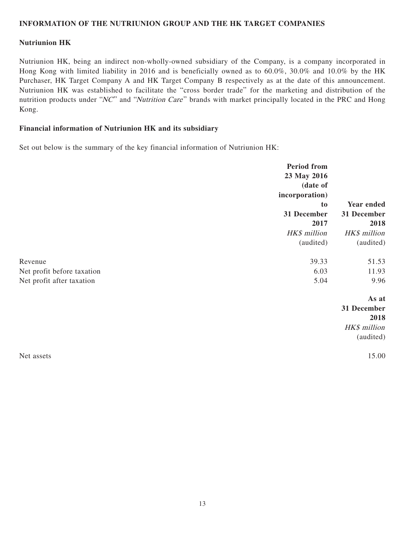#### **INFORMATION OF THE NUTRIUNION GROUP AND THE HK TARGET COMPANIES**

#### **Nutriunion HK**

Nutriunion HK, being an indirect non-wholly-owned subsidiary of the Company, is a company incorporated in Hong Kong with limited liability in 2016 and is beneficially owned as to 60.0%, 30.0% and 10.0% by the HK Purchaser, HK Target Company A and HK Target Company B respectively as at the date of this announcement. Nutriunion HK was established to facilitate the "cross border trade" for the marketing and distribution of the nutrition products under "NC" and "Nutrition Care" brands with market principally located in the PRC and Hong Kong.

#### **Financial information of Nutriunion HK and its subsidiary**

Set out below is the summary of the key financial information of Nutriunion HK:

|                            | <b>Period from</b> |              |  |
|----------------------------|--------------------|--------------|--|
|                            | 23 May 2016        |              |  |
|                            | (date of           |              |  |
|                            | incorporation)     |              |  |
|                            | to                 | Year ended   |  |
|                            | 31 December        | 31 December  |  |
|                            | 2017               | 2018         |  |
|                            | HK\$ million       | HK\$ million |  |
|                            | (audited)          | (audited)    |  |
| Revenue                    | 39.33              | 51.53        |  |
| Net profit before taxation | 6.03               | 11.93        |  |
| Net profit after taxation  | 5.04               | 9.96         |  |
|                            |                    | As at        |  |
|                            |                    | 31 December  |  |
|                            |                    | 2018         |  |
|                            |                    | HK\$ million |  |
|                            |                    | (audited)    |  |
| Net assets                 |                    | 15.00        |  |
|                            |                    |              |  |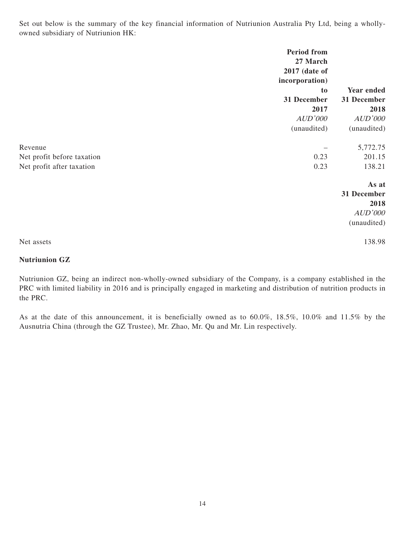Set out below is the summary of the key financial information of Nutriunion Australia Pty Ltd, being a whollyowned subsidiary of Nutriunion HK:

|                                                                    | <b>Period from</b><br>27 March<br>2017 (date of<br>incorporation)<br>to<br>31 December<br>2017<br>AUD'000<br>(unaudited) | Year ended<br>31 December<br>2018<br>AUD'000<br>(unaudited) |
|--------------------------------------------------------------------|--------------------------------------------------------------------------------------------------------------------------|-------------------------------------------------------------|
| Revenue<br>Net profit before taxation<br>Net profit after taxation | 0.23<br>0.23                                                                                                             | 5,772.75<br>201.15<br>138.21                                |
|                                                                    |                                                                                                                          | As at<br>31 December<br>2018<br>AUD'000<br>(unaudited)      |
| Net assets                                                         |                                                                                                                          | 138.98                                                      |

## **Nutriunion GZ**

Nutriunion GZ, being an indirect non-wholly-owned subsidiary of the Company, is a company established in the PRC with limited liability in 2016 and is principally engaged in marketing and distribution of nutrition products in the PRC.

As at the date of this announcement, it is beneficially owned as to 60.0%, 18.5%, 10.0% and 11.5% by the Ausnutria China (through the GZ Trustee), Mr. Zhao, Mr. Qu and Mr. Lin respectively.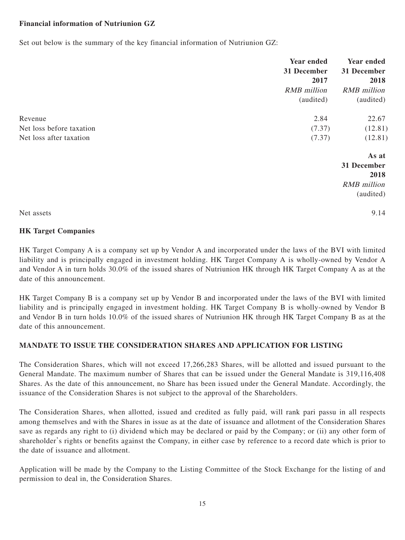## **Financial information of Nutriunion GZ**

Set out below is the summary of the key financial information of Nutriunion GZ:

|                          | <b>Year ended</b><br>31 December<br>2017<br><b>RMB</b> million<br>(audited) | <b>Year ended</b><br>31 December<br>2018<br><b>RMB</b> million<br>(audited) |
|--------------------------|-----------------------------------------------------------------------------|-----------------------------------------------------------------------------|
| Revenue                  | 2.84                                                                        | 22.67                                                                       |
| Net loss before taxation | (7.37)                                                                      | (12.81)                                                                     |
| Net loss after taxation  | (7.37)                                                                      | (12.81)                                                                     |
|                          |                                                                             | As at                                                                       |
|                          |                                                                             | 31 December                                                                 |
|                          |                                                                             | 2018                                                                        |
|                          |                                                                             | <b>RMB</b> million                                                          |
|                          |                                                                             | (audited)                                                                   |
| Net assets               |                                                                             | 9.14                                                                        |

#### **HK Target Companies**

HK Target Company A is a company set up by Vendor A and incorporated under the laws of the BVI with limited liability and is principally engaged in investment holding. HK Target Company A is wholly-owned by Vendor A and Vendor A in turn holds 30.0% of the issued shares of Nutriunion HK through HK Target Company A as at the date of this announcement.

HK Target Company B is a company set up by Vendor B and incorporated under the laws of the BVI with limited liability and is principally engaged in investment holding. HK Target Company B is wholly-owned by Vendor B and Vendor B in turn holds 10.0% of the issued shares of Nutriunion HK through HK Target Company B as at the date of this announcement.

## **MANDATE TO ISSUE THE CONSIDERATION SHARES AND APPLICATION FOR LISTING**

The Consideration Shares, which will not exceed 17,266,283 Shares, will be allotted and issued pursuant to the General Mandate. The maximum number of Shares that can be issued under the General Mandate is 319,116,408 Shares. As the date of this announcement, no Share has been issued under the General Mandate. Accordingly, the issuance of the Consideration Shares is not subject to the approval of the Shareholders.

The Consideration Shares, when allotted, issued and credited as fully paid, will rank pari passu in all respects among themselves and with the Shares in issue as at the date of issuance and allotment of the Consideration Shares save as regards any right to (i) dividend which may be declared or paid by the Company; or (ii) any other form of shareholder's rights or benefits against the Company, in either case by reference to a record date which is prior to the date of issuance and allotment.

Application will be made by the Company to the Listing Committee of the Stock Exchange for the listing of and permission to deal in, the Consideration Shares.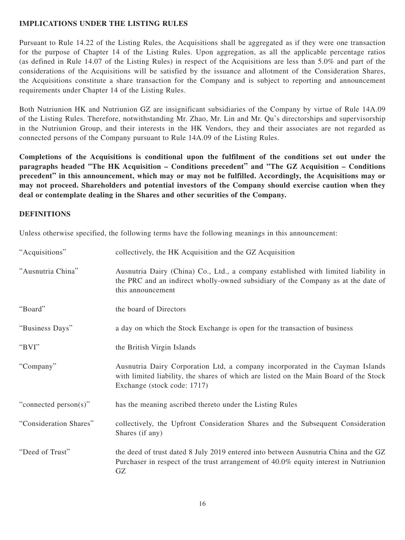## **IMPLICATIONS UNDER THE LISTING RULES**

Pursuant to Rule 14.22 of the Listing Rules, the Acquisitions shall be aggregated as if they were one transaction for the purpose of Chapter 14 of the Listing Rules. Upon aggregation, as all the applicable percentage ratios (as defined in Rule 14.07 of the Listing Rules) in respect of the Acquisitions are less than 5.0% and part of the considerations of the Acquisitions will be satisfied by the issuance and allotment of the Consideration Shares, the Acquisitions constitute a share transaction for the Company and is subject to reporting and announcement requirements under Chapter 14 of the Listing Rules.

Both Nutriunion HK and Nutriunion GZ are insignificant subsidiaries of the Company by virtue of Rule 14A.09 of the Listing Rules. Therefore, notwithstanding Mr. Zhao, Mr. Lin and Mr. Qu's directorships and supervisorship in the Nutriunion Group, and their interests in the HK Vendors, they and their associates are not regarded as connected persons of the Company pursuant to Rule 14A.09 of the Listing Rules.

**Completions of the Acquisitions is conditional upon the fulfilment of the conditions set out under the paragraphs headed "The HK Acquisition – Conditions precedent" and "The GZ Acquisition – Conditions precedent" in this announcement, which may or may not be fulfilled. Accordingly, the Acquisitions may or may not proceed. Shareholders and potential investors of the Company should exercise caution when they deal or contemplate dealing in the Shares and other securities of the Company.**

#### **DEFINITIONS**

Unless otherwise specified, the following terms have the following meanings in this announcement:

| "Acquisitions"         | collectively, the HK Acquisition and the GZ Acquisition                                                                                                                                               |
|------------------------|-------------------------------------------------------------------------------------------------------------------------------------------------------------------------------------------------------|
| "Ausnutria China"      | Ausnutria Dairy (China) Co., Ltd., a company established with limited liability in<br>the PRC and an indirect wholly-owned subsidiary of the Company as at the date of<br>this announcement           |
| "Board"                | the board of Directors                                                                                                                                                                                |
| "Business Days"        | a day on which the Stock Exchange is open for the transaction of business                                                                                                                             |
| "BVI"                  | the British Virgin Islands                                                                                                                                                                            |
| "Company"              | Ausnutria Dairy Corporation Ltd, a company incorporated in the Cayman Islands<br>with limited liability, the shares of which are listed on the Main Board of the Stock<br>Exchange (stock code: 1717) |
| "connected person(s)"  | has the meaning ascribed thereto under the Listing Rules                                                                                                                                              |
| "Consideration Shares" | collectively, the Upfront Consideration Shares and the Subsequent Consideration<br>Shares (if any)                                                                                                    |
| "Deed of Trust"        | the deed of trust dated 8 July 2019 entered into between Ausnutria China and the GZ<br>Purchaser in respect of the trust arrangement of 40.0% equity interest in Nutriunion<br>GZ                     |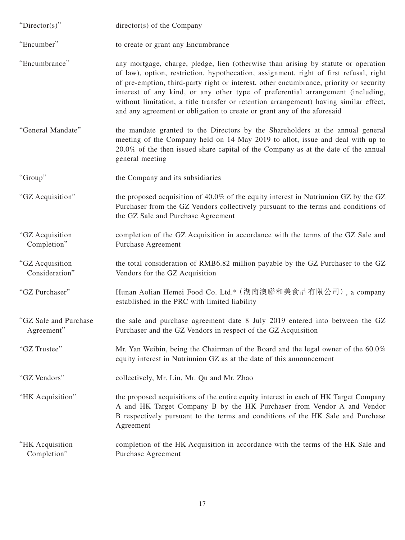| "Director(s)"                       | $directory(s)$ of the Company                                                                                                                                                                                                                                                                                                                                                                                                                                                                                                 |
|-------------------------------------|-------------------------------------------------------------------------------------------------------------------------------------------------------------------------------------------------------------------------------------------------------------------------------------------------------------------------------------------------------------------------------------------------------------------------------------------------------------------------------------------------------------------------------|
| "Encumber"                          | to create or grant any Encumbrance                                                                                                                                                                                                                                                                                                                                                                                                                                                                                            |
| "Encumbrance"                       | any mortgage, charge, pledge, lien (otherwise than arising by statute or operation<br>of law), option, restriction, hypothecation, assignment, right of first refusal, right<br>of pre-emption, third-party right or interest, other encumbrance, priority or security<br>interest of any kind, or any other type of preferential arrangement (including,<br>without limitation, a title transfer or retention arrangement) having similar effect,<br>and any agreement or obligation to create or grant any of the aforesaid |
| "General Mandate"                   | the mandate granted to the Directors by the Shareholders at the annual general<br>meeting of the Company held on 14 May 2019 to allot, issue and deal with up to<br>20.0% of the then issued share capital of the Company as at the date of the annual<br>general meeting                                                                                                                                                                                                                                                     |
| "Group"                             | the Company and its subsidiaries                                                                                                                                                                                                                                                                                                                                                                                                                                                                                              |
| "GZ Acquisition"                    | the proposed acquisition of 40.0% of the equity interest in Nutriunion GZ by the GZ<br>Purchaser from the GZ Vendors collectively pursuant to the terms and conditions of<br>the GZ Sale and Purchase Agreement                                                                                                                                                                                                                                                                                                               |
| "GZ Acquisition<br>Completion"      | completion of the GZ Acquisition in accordance with the terms of the GZ Sale and<br>Purchase Agreement                                                                                                                                                                                                                                                                                                                                                                                                                        |
| "GZ Acquisition<br>Consideration"   | the total consideration of RMB6.82 million payable by the GZ Purchaser to the GZ<br>Vendors for the GZ Acquisition                                                                                                                                                                                                                                                                                                                                                                                                            |
| "GZ Purchaser"                      | Hunan Aolian Hemei Food Co. Ltd.* (湖南澳聯和美食品有限公司), a company<br>established in the PRC with limited liability                                                                                                                                                                                                                                                                                                                                                                                                                  |
| "GZ Sale and Purchase<br>Agreement" | the sale and purchase agreement date 8 July 2019 entered into between the GZ<br>Purchaser and the GZ Vendors in respect of the GZ Acquisition                                                                                                                                                                                                                                                                                                                                                                                 |
| "GZ Trustee"                        | Mr. Yan Weibin, being the Chairman of the Board and the legal owner of the 60.0%<br>equity interest in Nutriunion GZ as at the date of this announcement                                                                                                                                                                                                                                                                                                                                                                      |
| "GZ Vendors"                        | collectively, Mr. Lin, Mr. Qu and Mr. Zhao                                                                                                                                                                                                                                                                                                                                                                                                                                                                                    |
| "HK Acquisition"                    | the proposed acquisitions of the entire equity interest in each of HK Target Company<br>A and HK Target Company B by the HK Purchaser from Vendor A and Vendor<br>B respectively pursuant to the terms and conditions of the HK Sale and Purchase<br>Agreement                                                                                                                                                                                                                                                                |
| "HK Acquisition<br>Completion"      | completion of the HK Acquisition in accordance with the terms of the HK Sale and<br>Purchase Agreement                                                                                                                                                                                                                                                                                                                                                                                                                        |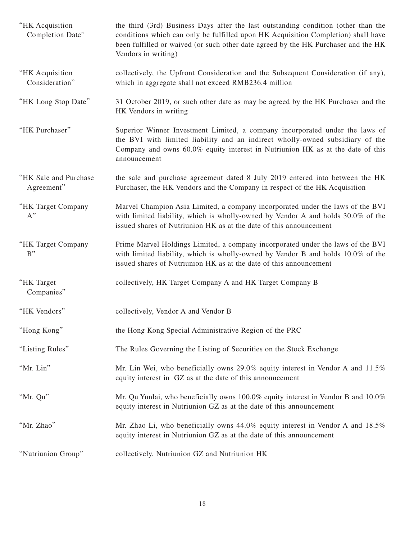| "HK Acquisition<br>Completion Date" | the third (3rd) Business Days after the last outstanding condition (other than the<br>conditions which can only be fulfilled upon HK Acquisition Completion) shall have<br>been fulfilled or waived (or such other date agreed by the HK Purchaser and the HK<br>Vendors in writing) |
|-------------------------------------|--------------------------------------------------------------------------------------------------------------------------------------------------------------------------------------------------------------------------------------------------------------------------------------|
| "HK Acquisition<br>Consideration"   | collectively, the Upfront Consideration and the Subsequent Consideration (if any),<br>which in aggregate shall not exceed RMB236.4 million                                                                                                                                           |
| "HK Long Stop Date"                 | 31 October 2019, or such other date as may be agreed by the HK Purchaser and the<br>HK Vendors in writing                                                                                                                                                                            |
| "HK Purchaser"                      | Superior Winner Investment Limited, a company incorporated under the laws of<br>the BVI with limited liability and an indirect wholly-owned subsidiary of the<br>Company and owns 60.0% equity interest in Nutriunion HK as at the date of this<br>announcement                      |
| "HK Sale and Purchase<br>Agreement" | the sale and purchase agreement dated 8 July 2019 entered into between the HK<br>Purchaser, the HK Vendors and the Company in respect of the HK Acquisition                                                                                                                          |
| "HK Target Company<br>$A$ "         | Marvel Champion Asia Limited, a company incorporated under the laws of the BVI<br>with limited liability, which is wholly-owned by Vendor A and holds 30.0% of the<br>issued shares of Nutriunion HK as at the date of this announcement                                             |
| "HK Target Company<br>B''           | Prime Marvel Holdings Limited, a company incorporated under the laws of the BVI<br>with limited liability, which is wholly-owned by Vendor B and holds 10.0% of the<br>issued shares of Nutriunion HK as at the date of this announcement                                            |
| "HK Target<br>Companies"            | collectively, HK Target Company A and HK Target Company B                                                                                                                                                                                                                            |
| "HK Vendors"                        | collectively, Vendor A and Vendor B                                                                                                                                                                                                                                                  |
| "Hong Kong"                         | the Hong Kong Special Administrative Region of the PRC                                                                                                                                                                                                                               |
| "Listing Rules"                     | The Rules Governing the Listing of Securities on the Stock Exchange                                                                                                                                                                                                                  |
| "Mr. Lin"                           | Mr. Lin Wei, who beneficially owns 29.0% equity interest in Vendor A and 11.5%<br>equity interest in GZ as at the date of this announcement                                                                                                                                          |
| "Mr. Qu"                            | Mr. Qu Yunlai, who beneficially owns 100.0% equity interest in Vendor B and 10.0%<br>equity interest in Nutriunion GZ as at the date of this announcement                                                                                                                            |
| "Mr. Zhao"                          | Mr. Zhao Li, who beneficially owns 44.0% equity interest in Vendor A and 18.5%<br>equity interest in Nutriunion GZ as at the date of this announcement                                                                                                                               |
| "Nutriunion Group"                  | collectively, Nutriunion GZ and Nutriunion HK                                                                                                                                                                                                                                        |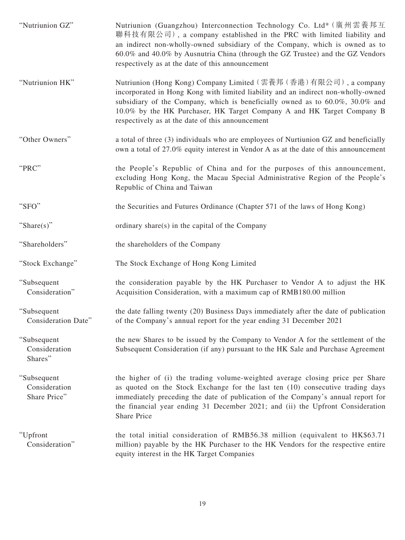| "Nutriunion GZ"                              | Nutriunion (Guangzhou) Interconnection Technology Co. Ltd* (廣州雲養邦互<br>聯科技有限公司), a company established in the PRC with limited liability and<br>an indirect non-wholly-owned subsidiary of the Company, which is owned as to<br>60.0% and 40.0% by Ausnutria China (through the GZ Trustee) and the GZ Vendors<br>respectively as at the date of this announcement     |
|----------------------------------------------|-----------------------------------------------------------------------------------------------------------------------------------------------------------------------------------------------------------------------------------------------------------------------------------------------------------------------------------------------------------------------|
| "Nutriunion HK"                              | Nutriunion (Hong Kong) Company Limited (雲養邦 (香港) 有限公司), a company<br>incorporated in Hong Kong with limited liability and an indirect non-wholly-owned<br>subsidiary of the Company, which is beneficially owned as to 60.0%, 30.0% and<br>10.0% by the HK Purchaser, HK Target Company A and HK Target Company B<br>respectively as at the date of this announcement |
| "Other Owners"                               | a total of three (3) individuals who are employees of Nurtiunion GZ and beneficially<br>own a total of 27.0% equity interest in Vendor A as at the date of this announcement                                                                                                                                                                                          |
| "PRC"                                        | the People's Republic of China and for the purposes of this announcement,<br>excluding Hong Kong, the Macau Special Administrative Region of the People's<br>Republic of China and Taiwan                                                                                                                                                                             |
| "SFO"                                        | the Securities and Futures Ordinance (Chapter 571 of the laws of Hong Kong)                                                                                                                                                                                                                                                                                           |
| "Share $(s)$ "                               | ordinary share(s) in the capital of the Company                                                                                                                                                                                                                                                                                                                       |
| "Shareholders"                               | the shareholders of the Company                                                                                                                                                                                                                                                                                                                                       |
| "Stock Exchange"                             | The Stock Exchange of Hong Kong Limited                                                                                                                                                                                                                                                                                                                               |
| "Subsequent<br>Consideration"                | the consideration payable by the HK Purchaser to Vendor A to adjust the HK<br>Acquisition Consideration, with a maximum cap of RMB180.00 million                                                                                                                                                                                                                      |
| "Subsequent<br>Consideration Date"           | the date falling twenty (20) Business Days immediately after the date of publication<br>of the Company's annual report for the year ending 31 December 2021                                                                                                                                                                                                           |
| "Subsequent<br>Consideration<br>Shares"      | the new Shares to be issued by the Company to Vendor A for the settlement of the<br>Subsequent Consideration (if any) pursuant to the HK Sale and Purchase Agreement                                                                                                                                                                                                  |
| "Subsequent<br>Consideration<br>Share Price" | the higher of (i) the trading volume-weighted average closing price per Share<br>as quoted on the Stock Exchange for the last ten (10) consecutive trading days<br>immediately preceding the date of publication of the Company's annual report for<br>the financial year ending 31 December 2021; and (ii) the Upfront Consideration<br>Share Price                  |
| "Upfront<br>Consideration"                   | the total initial consideration of RMB56.38 million (equivalent to HK\$63.71)<br>million) payable by the HK Purchaser to the HK Vendors for the respective entire<br>equity interest in the HK Target Companies                                                                                                                                                       |